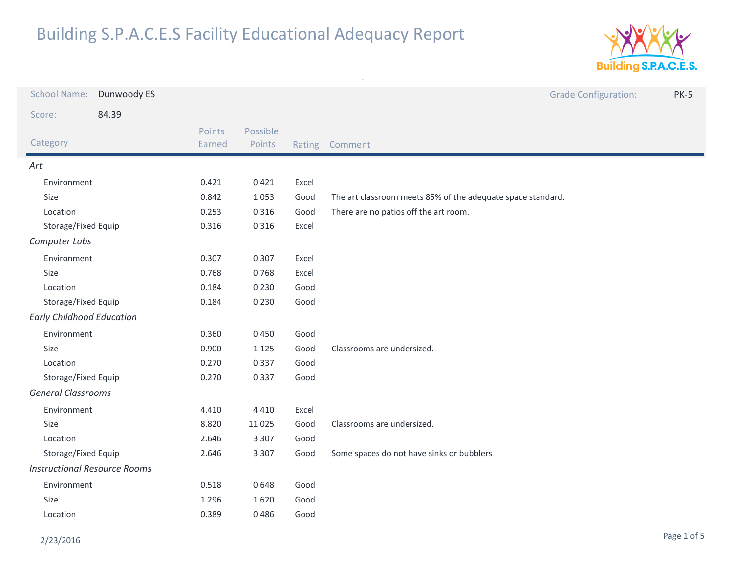

| <b>School Name:</b>                 | Dunwoody ES |                  |                    |        | <b>Grade Configuration:</b><br><b>PK-5</b>                  |  |
|-------------------------------------|-------------|------------------|--------------------|--------|-------------------------------------------------------------|--|
| Score:                              | 84.39       |                  |                    |        |                                                             |  |
| Category                            |             | Points<br>Earned | Possible<br>Points | Rating | Comment                                                     |  |
| Art                                 |             |                  |                    |        |                                                             |  |
| Environment                         |             | 0.421            | 0.421              | Excel  |                                                             |  |
| Size                                |             | 0.842            | 1.053              | Good   | The art classroom meets 85% of the adequate space standard. |  |
| Location                            |             | 0.253            | 0.316              | Good   | There are no patios off the art room.                       |  |
| Storage/Fixed Equip                 |             | 0.316            | 0.316              | Excel  |                                                             |  |
| Computer Labs                       |             |                  |                    |        |                                                             |  |
| Environment                         |             | 0.307            | 0.307              | Excel  |                                                             |  |
| Size                                |             | 0.768            | 0.768              | Excel  |                                                             |  |
| Location                            |             | 0.184            | 0.230              | Good   |                                                             |  |
| Storage/Fixed Equip                 |             | 0.184            | 0.230              | Good   |                                                             |  |
| <b>Early Childhood Education</b>    |             |                  |                    |        |                                                             |  |
| Environment                         |             | 0.360            | 0.450              | Good   |                                                             |  |
| Size                                |             | 0.900            | 1.125              | Good   | Classrooms are undersized.                                  |  |
| Location                            |             | 0.270            | 0.337              | Good   |                                                             |  |
| Storage/Fixed Equip                 |             | 0.270            | 0.337              | Good   |                                                             |  |
| <b>General Classrooms</b>           |             |                  |                    |        |                                                             |  |
| Environment                         |             | 4.410            | 4.410              | Excel  |                                                             |  |
| Size                                |             | 8.820            | 11.025             | Good   | Classrooms are undersized.                                  |  |
| Location                            |             | 2.646            | 3.307              | Good   |                                                             |  |
| Storage/Fixed Equip                 |             | 2.646            | 3.307              | Good   | Some spaces do not have sinks or bubblers                   |  |
| <b>Instructional Resource Rooms</b> |             |                  |                    |        |                                                             |  |
| Environment                         |             | 0.518            | 0.648              | Good   |                                                             |  |
| Size                                |             | 1.296            | 1.620              | Good   |                                                             |  |
| Location                            |             | 0.389            | 0.486              | Good   |                                                             |  |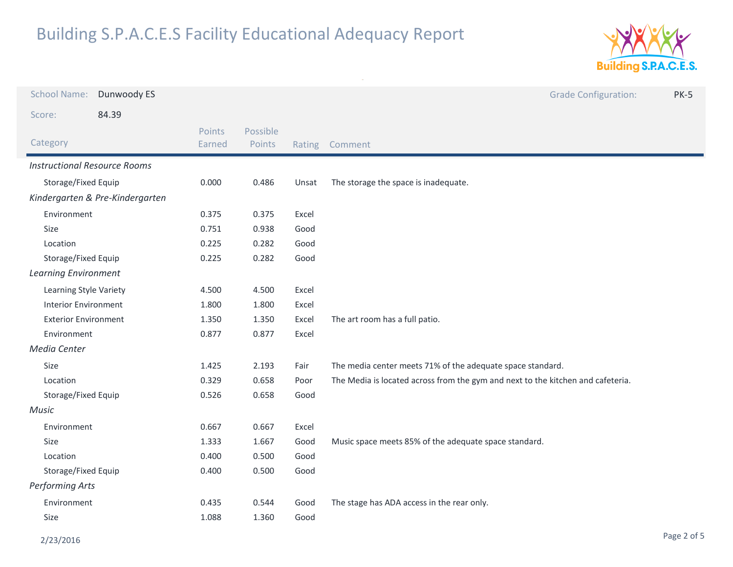

| <b>School Name:</b>                 | Dunwoody ES                     |                  |                    |       | <b>Grade Configuration:</b><br><b>PK-5</b>                                      |
|-------------------------------------|---------------------------------|------------------|--------------------|-------|---------------------------------------------------------------------------------|
| Score:                              | 84.39                           |                  |                    |       |                                                                                 |
| Category                            |                                 | Points<br>Earned | Possible<br>Points |       | Rating Comment                                                                  |
| <b>Instructional Resource Rooms</b> |                                 |                  |                    |       |                                                                                 |
| Storage/Fixed Equip                 |                                 | 0.000            | 0.486              | Unsat | The storage the space is inadequate.                                            |
|                                     | Kindergarten & Pre-Kindergarten |                  |                    |       |                                                                                 |
| Environment                         |                                 | 0.375            | 0.375              | Excel |                                                                                 |
| Size                                |                                 | 0.751            | 0.938              | Good  |                                                                                 |
| Location                            |                                 | 0.225            | 0.282              | Good  |                                                                                 |
| Storage/Fixed Equip                 |                                 | 0.225            | 0.282              | Good  |                                                                                 |
| <b>Learning Environment</b>         |                                 |                  |                    |       |                                                                                 |
| Learning Style Variety              |                                 | 4.500            | 4.500              | Excel |                                                                                 |
| <b>Interior Environment</b>         |                                 | 1.800            | 1.800              | Excel |                                                                                 |
| <b>Exterior Environment</b>         |                                 | 1.350            | 1.350              | Excel | The art room has a full patio.                                                  |
| Environment                         |                                 | 0.877            | 0.877              | Excel |                                                                                 |
| Media Center                        |                                 |                  |                    |       |                                                                                 |
| Size                                |                                 | 1.425            | 2.193              | Fair  | The media center meets 71% of the adequate space standard.                      |
| Location                            |                                 | 0.329            | 0.658              | Poor  | The Media is located across from the gym and next to the kitchen and cafeteria. |
| Storage/Fixed Equip                 |                                 | 0.526            | 0.658              | Good  |                                                                                 |
| Music                               |                                 |                  |                    |       |                                                                                 |
|                                     | Environment                     |                  | 0.667              | Excel |                                                                                 |
| Size                                |                                 | 1.333            | 1.667              | Good  | Music space meets 85% of the adequate space standard.                           |
| Location                            |                                 | 0.400            | 0.500              | Good  |                                                                                 |
| Storage/Fixed Equip                 |                                 | 0.400            | 0.500              | Good  |                                                                                 |
| <b>Performing Arts</b>              |                                 |                  |                    |       |                                                                                 |
| Environment                         |                                 | 0.435            | 0.544              | Good  | The stage has ADA access in the rear only.                                      |
| Size                                |                                 | 1.088            | 1.360              | Good  |                                                                                 |
|                                     |                                 |                  |                    |       |                                                                                 |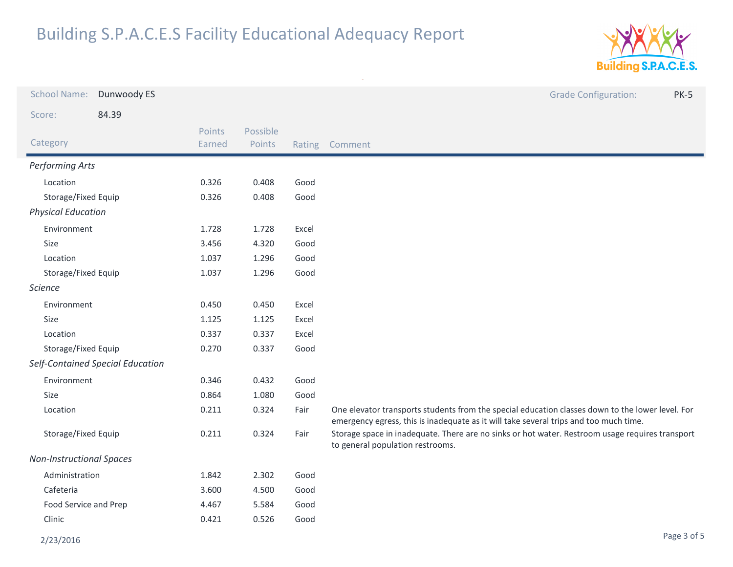

| <b>School Name:</b>              | Dunwoody ES |                  |                    |       | <b>Grade Configuration:</b><br><b>PK-5</b>                                                                                                                                                |
|----------------------------------|-------------|------------------|--------------------|-------|-------------------------------------------------------------------------------------------------------------------------------------------------------------------------------------------|
| 84.39<br>Score:                  |             |                  |                    |       |                                                                                                                                                                                           |
| Category                         |             | Points<br>Earned | Possible<br>Points |       | Rating Comment                                                                                                                                                                            |
| Performing Arts                  |             |                  |                    |       |                                                                                                                                                                                           |
| Location                         |             | 0.326            | 0.408              | Good  |                                                                                                                                                                                           |
| Storage/Fixed Equip              |             | 0.326            | 0.408              | Good  |                                                                                                                                                                                           |
| <b>Physical Education</b>        |             |                  |                    |       |                                                                                                                                                                                           |
| Environment                      |             | 1.728            | 1.728              | Excel |                                                                                                                                                                                           |
| Size                             |             | 3.456            | 4.320              | Good  |                                                                                                                                                                                           |
| Location                         |             | 1.037            | 1.296              | Good  |                                                                                                                                                                                           |
| Storage/Fixed Equip              |             | 1.037            | 1.296              | Good  |                                                                                                                                                                                           |
| <b>Science</b>                   |             |                  |                    |       |                                                                                                                                                                                           |
| Environment                      |             | 0.450            | 0.450              | Excel |                                                                                                                                                                                           |
| Size                             |             | 1.125            | 1.125              | Excel |                                                                                                                                                                                           |
| Location                         |             | 0.337            | 0.337              | Excel |                                                                                                                                                                                           |
| Storage/Fixed Equip              |             | 0.270            | 0.337              | Good  |                                                                                                                                                                                           |
| Self-Contained Special Education |             |                  |                    |       |                                                                                                                                                                                           |
| Environment                      |             | 0.346            | 0.432              | Good  |                                                                                                                                                                                           |
| Size                             |             | 0.864            | 1.080              | Good  |                                                                                                                                                                                           |
| Location                         |             | 0.211            | 0.324              | Fair  | One elevator transports students from the special education classes down to the lower level. For<br>emergency egress, this is inadequate as it will take several trips and too much time. |
| Storage/Fixed Equip              |             | 0.211            | 0.324              | Fair  | Storage space in inadequate. There are no sinks or hot water. Restroom usage requires transport<br>to general population restrooms.                                                       |
| <b>Non-Instructional Spaces</b>  |             |                  |                    |       |                                                                                                                                                                                           |
| Administration                   |             | 1.842            | 2.302              | Good  |                                                                                                                                                                                           |
| Cafeteria                        |             | 3.600            | 4.500              | Good  |                                                                                                                                                                                           |
| Food Service and Prep            |             | 4.467            | 5.584              | Good  |                                                                                                                                                                                           |
| Clinic                           |             | 0.421            | 0.526              | Good  |                                                                                                                                                                                           |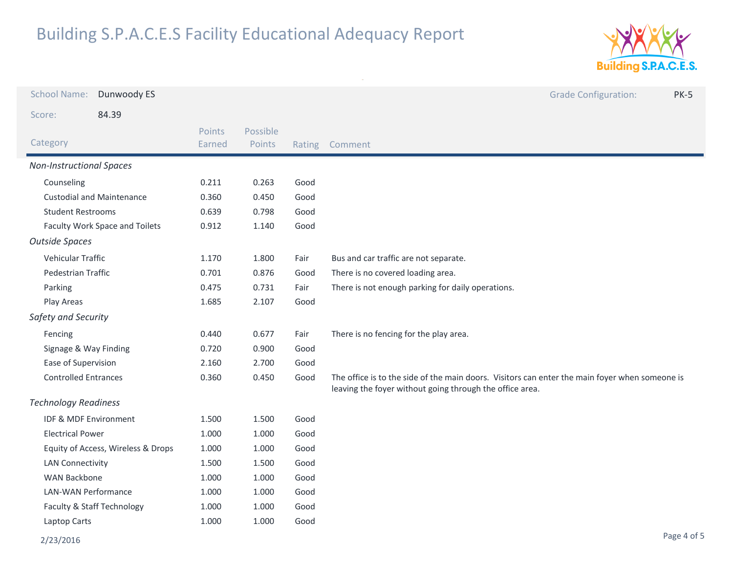

| <b>School Name:</b>                | Dunwoody ES                      |                  |                    |      | <b>Grade Configuration:</b><br><b>PK-5</b>                                                                                                                 |
|------------------------------------|----------------------------------|------------------|--------------------|------|------------------------------------------------------------------------------------------------------------------------------------------------------------|
| Score:                             | 84.39                            |                  |                    |      |                                                                                                                                                            |
| Category                           |                                  | Points<br>Earned | Possible<br>Points |      | Rating Comment                                                                                                                                             |
| <b>Non-Instructional Spaces</b>    |                                  |                  |                    |      |                                                                                                                                                            |
| Counseling                         |                                  | 0.211            | 0.263              | Good |                                                                                                                                                            |
|                                    | <b>Custodial and Maintenance</b> | 0.360            | 0.450              | Good |                                                                                                                                                            |
| <b>Student Restrooms</b>           |                                  | 0.639            | 0.798              | Good |                                                                                                                                                            |
|                                    | Faculty Work Space and Toilets   | 0.912            | 1.140              | Good |                                                                                                                                                            |
| <b>Outside Spaces</b>              |                                  |                  |                    |      |                                                                                                                                                            |
| Vehicular Traffic                  |                                  | 1.170            | 1.800              | Fair | Bus and car traffic are not separate.                                                                                                                      |
| Pedestrian Traffic                 |                                  | 0.701            | 0.876              | Good | There is no covered loading area.                                                                                                                          |
| Parking                            |                                  | 0.475            | 0.731              | Fair | There is not enough parking for daily operations.                                                                                                          |
| Play Areas                         |                                  | 1.685            | 2.107              | Good |                                                                                                                                                            |
| Safety and Security                |                                  |                  |                    |      |                                                                                                                                                            |
| Fencing                            |                                  | 0.440            | 0.677              | Fair | There is no fencing for the play area.                                                                                                                     |
| Signage & Way Finding              |                                  | 0.720            | 0.900              | Good |                                                                                                                                                            |
| Ease of Supervision                |                                  | 2.160            | 2.700              | Good |                                                                                                                                                            |
| <b>Controlled Entrances</b>        |                                  | 0.360            | 0.450              | Good | The office is to the side of the main doors. Visitors can enter the main foyer when someone is<br>leaving the foyer without going through the office area. |
| <b>Technology Readiness</b>        |                                  |                  |                    |      |                                                                                                                                                            |
| IDF & MDF Environment              |                                  | 1.500            | 1.500              | Good |                                                                                                                                                            |
| <b>Electrical Power</b>            |                                  | 1.000            | 1.000              | Good |                                                                                                                                                            |
| Equity of Access, Wireless & Drops |                                  | 1.000            | 1.000              | Good |                                                                                                                                                            |
| <b>LAN Connectivity</b>            |                                  | 1.500            | 1.500              | Good |                                                                                                                                                            |
| <b>WAN Backbone</b>                |                                  | 1.000            | 1.000              | Good |                                                                                                                                                            |
| <b>LAN-WAN Performance</b>         |                                  | 1.000            | 1.000              | Good |                                                                                                                                                            |
|                                    | Faculty & Staff Technology       | 1.000            | 1.000              | Good |                                                                                                                                                            |
| Laptop Carts                       |                                  | 1.000            | 1.000              | Good |                                                                                                                                                            |
| 2/23/2016                          |                                  |                  |                    |      | Page 4 of 5                                                                                                                                                |